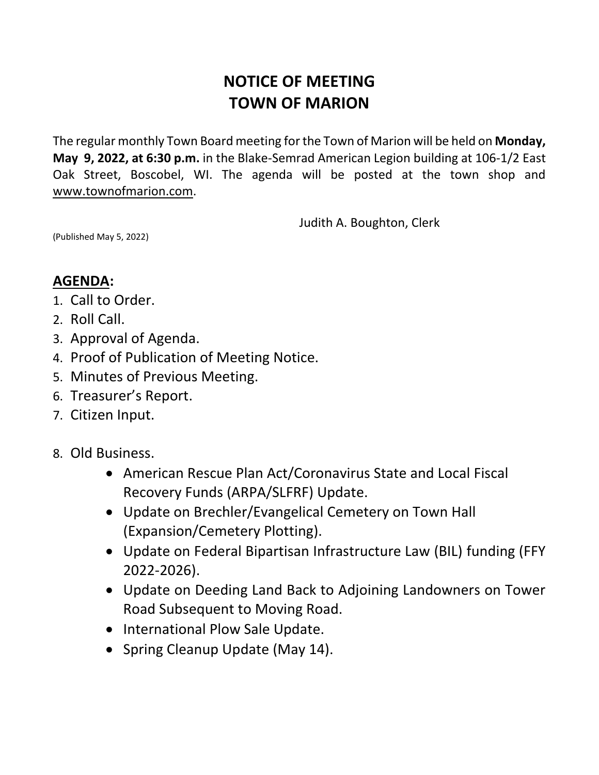## **NOTICE OF MEETING TOWN OF MARION**

The regular monthly Town Board meeting for the Town of Marion will be held on **Monday, May 9, 2022, at 6:30 p.m.** in the Blake-Semrad American Legion building at 106-1/2 East Oak Street, Boscobel, WI. The agenda will be posted at the town shop and [www.townofmarion.com.](http://www.townofmarion.com/)

Judith A. Boughton, Clerk

(Published May 5, 2022)

## **AGENDA:**

- 1. Call to Order.
- 2. Roll Call.
- 3. Approval of Agenda.
- 4. Proof of Publication of Meeting Notice.
- 5. Minutes of Previous Meeting.
- 6. Treasurer's Report.
- 7. Citizen Input.
- 8. Old Business.
	- American Rescue Plan Act/Coronavirus State and Local Fiscal Recovery Funds (ARPA/SLFRF) Update.
	- Update on Brechler/Evangelical Cemetery on Town Hall (Expansion/Cemetery Plotting).
	- Update on Federal Bipartisan Infrastructure Law (BIL) funding (FFY 2022-2026).
	- Update on Deeding Land Back to Adjoining Landowners on Tower Road Subsequent to Moving Road.
	- International Plow Sale Update.
	- Spring Cleanup Update (May 14).